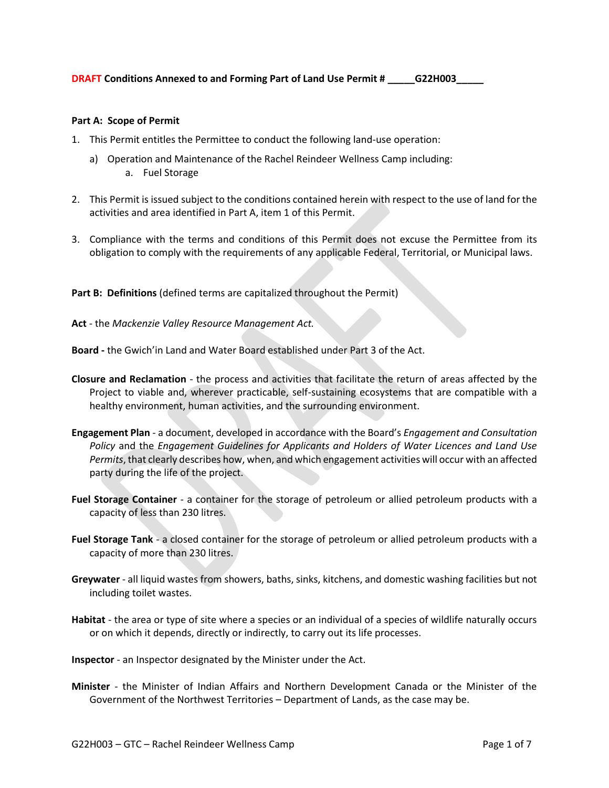## **Part A: Scope of Permit**

- 1. This Permit entitles the Permittee to conduct the following land-use operation:
	- a) Operation and Maintenance of the Rachel Reindeer Wellness Camp including: a. Fuel Storage
- 2. This Permit is issued subject to the conditions contained herein with respect to the use of land for the activities and area identified in Part A, item 1 of this Permit.
- 3. Compliance with the terms and conditions of this Permit does not excuse the Permittee from its obligation to comply with the requirements of any applicable Federal, Territorial, or Municipal laws.

Part B: Definitions (defined terms are capitalized throughout the Permit)

**Act** - the *Mackenzie Valley Resource Management Act.*

**Board -** the Gwich'in Land and Water Board established under Part 3 of the Act.

- **Closure and Reclamation** the process and activities that facilitate the return of areas affected by the Project to viable and, wherever practicable, self-sustaining ecosystems that are compatible with a healthy environment, human activities, and the surrounding environment.
- **Engagement Plan**  a document, developed in accordance with the Board's *Engagement and Consultation Policy* and the *Engagement Guidelines for Applicants and Holders of Water Licences and Land Use Permits*, that clearly describes how, when, and which engagement activities will occur with an affected party during the life of the project.
- **Fuel Storage Container** a container for the storage of petroleum or allied petroleum products with a capacity of less than 230 litres.
- **Fuel Storage Tank**  a closed container for the storage of petroleum or allied petroleum products with a capacity of more than 230 litres.
- **Greywater** all liquid wastes from showers, baths, sinks, kitchens, and domestic washing facilities but not including toilet wastes.
- **Habitat** the area or type of site where a species or an individual of a species of wildlife naturally occurs or on which it depends, directly or indirectly, to carry out its life processes.
- **Inspector**  an Inspector designated by the Minister under the Act.
- **Minister** the Minister of Indian Affairs and Northern Development Canada or the Minister of the Government of the Northwest Territories – Department of Lands, as the case may be.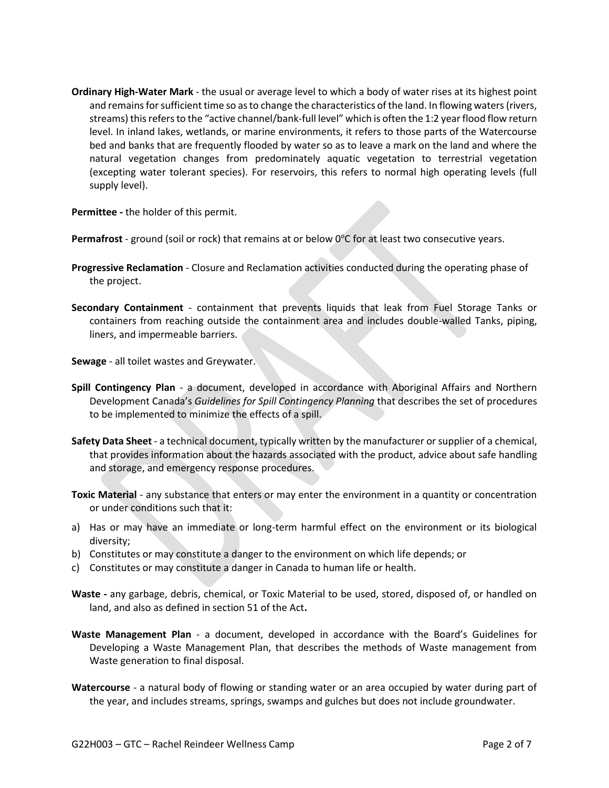**Ordinary High-Water Mark** - the usual or average level to which a body of water rises at its highest point and remains for sufficient time so as to change the characteristics of the land. In flowing waters (rivers, streams) this refers to the "active channel/bank-full level" which is often the 1:2 year flood flow return level. In inland lakes, wetlands, or marine environments, it refers to those parts of the Watercourse bed and banks that are frequently flooded by water so as to leave a mark on the land and where the natural vegetation changes from predominately aquatic vegetation to terrestrial vegetation (excepting water tolerant species). For reservoirs, this refers to normal high operating levels (full supply level).

**Permittee -** the holder of this permit.

**Permafrost** - ground (soil or rock) that remains at or below 0°C for at least two consecutive years.

- **Progressive Reclamation**  Closure and Reclamation activities conducted during the operating phase of the project.
- **Secondary Containment** containment that prevents liquids that leak from Fuel Storage Tanks or containers from reaching outside the containment area and includes double-walled Tanks, piping, liners, and impermeable barriers.

**Sewage** - all toilet wastes and Greywater.

- **Spill Contingency Plan** a document, developed in accordance with Aboriginal Affairs and Northern Development Canada's *Guidelines for Spill Contingency Planning* that describes the set of procedures to be implemented to minimize the effects of a spill.
- **Safety Data Sheet**  a technical document, typically written by the manufacturer or supplier of a chemical, that provides information about the hazards associated with the product, advice about safe handling and storage, and emergency response procedures.
- **Toxic Material** any substance that enters or may enter the environment in a quantity or concentration or under conditions such that it:
- a) Has or may have an immediate or long-term harmful effect on the environment or its biological diversity;
- b) Constitutes or may constitute a danger to the environment on which life depends; or
- c) Constitutes or may constitute a danger in Canada to human life or health.
- **Waste -** any garbage, debris, chemical, or Toxic Material to be used, stored, disposed of, or handled on land, and also as defined in section 51 of the Act**.**
- **Waste Management Plan** a document, developed in accordance with the Board's Guidelines for Developing a Waste Management Plan, that describes the methods of Waste management from Waste generation to final disposal.
- **Watercourse** a natural body of flowing or standing water or an area occupied by water during part of the year, and includes streams, springs, swamps and gulches but does not include groundwater.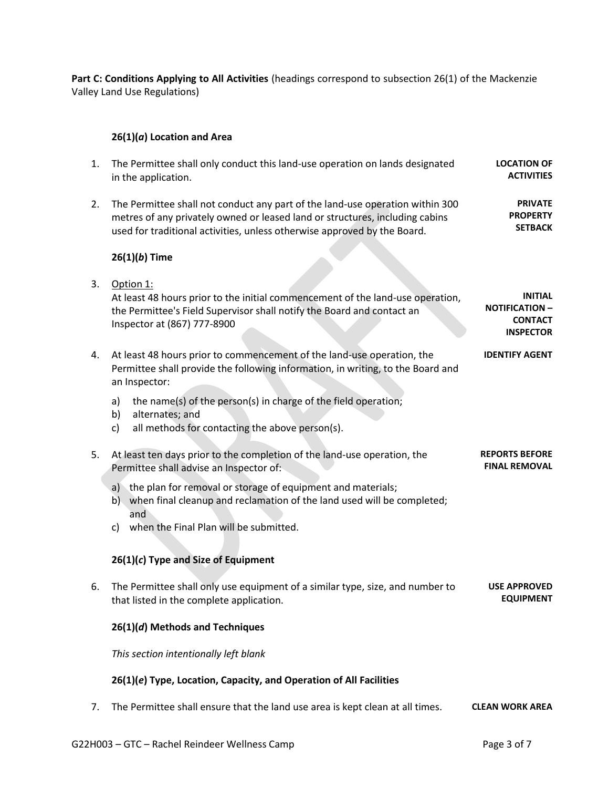Part C: Conditions Applying to All Activities (headings correspond to subsection 26(1) of the Mackenzie Valley Land Use Regulations)

## **26(1)(***a***) Location and Area**

| 1. | The Permittee shall only conduct this land-use operation on lands designated<br>in the application.                                                                                                                                       | <b>LOCATION OF</b><br><b>ACTIVITIES</b>                                       |
|----|-------------------------------------------------------------------------------------------------------------------------------------------------------------------------------------------------------------------------------------------|-------------------------------------------------------------------------------|
| 2. | The Permittee shall not conduct any part of the land-use operation within 300<br>metres of any privately owned or leased land or structures, including cabins<br>used for traditional activities, unless otherwise approved by the Board. | <b>PRIVATE</b><br><b>PROPERTY</b><br><b>SETBACK</b>                           |
|    | $26(1)(b)$ Time                                                                                                                                                                                                                           |                                                                               |
| 3. | Option 1:<br>At least 48 hours prior to the initial commencement of the land-use operation,<br>the Permittee's Field Supervisor shall notify the Board and contact an<br>Inspector at (867) 777-8900                                      | <b>INITIAL</b><br><b>NOTIFICATION -</b><br><b>CONTACT</b><br><b>INSPECTOR</b> |
| 4. | At least 48 hours prior to commencement of the land-use operation, the<br>Permittee shall provide the following information, in writing, to the Board and<br>an Inspector:                                                                | <b>IDENTIFY AGENT</b>                                                         |
|    | the name(s) of the person(s) in charge of the field operation;<br>a)<br>alternates; and<br>b)<br>all methods for contacting the above person(s).<br>c)                                                                                    |                                                                               |
| 5. | At least ten days prior to the completion of the land-use operation, the<br>Permittee shall advise an Inspector of:                                                                                                                       | <b>REPORTS BEFORE</b><br><b>FINAL REMOVAL</b>                                 |
|    | a) the plan for removal or storage of equipment and materials;<br>b) when final cleanup and reclamation of the land used will be completed;<br>and<br>when the Final Plan will be submitted.<br>c)                                        |                                                                               |
|    | $26(1)(c)$ Type and Size of Equipment                                                                                                                                                                                                     |                                                                               |
|    |                                                                                                                                                                                                                                           |                                                                               |
| 6. | The Permittee shall only use equipment of a similar type, size, and number to<br>that listed in the complete application.                                                                                                                 | <b>USE APPROVED</b><br><b>EQUIPMENT</b>                                       |
|    | 26(1)(d) Methods and Techniques                                                                                                                                                                                                           |                                                                               |
|    | This section intentionally left blank                                                                                                                                                                                                     |                                                                               |
|    | 26(1)(e) Type, Location, Capacity, and Operation of All Facilities                                                                                                                                                                        |                                                                               |
| 7. | The Permittee shall ensure that the land use area is kept clean at all times.                                                                                                                                                             | <b>CLEAN WORK AREA</b>                                                        |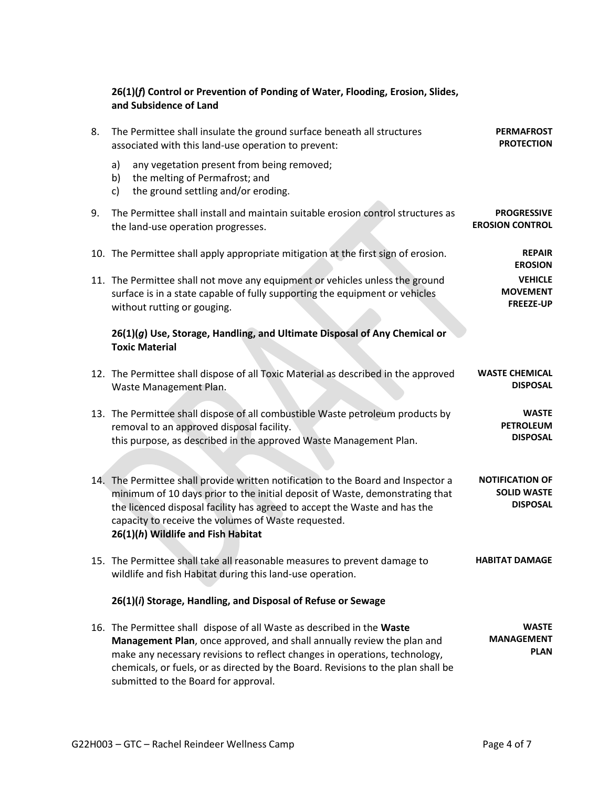## **26(1)(***f***) Control or Prevention of Ponding of Water, Flooding, Erosion, Slides, and Subsidence of Land**

| <b>PERMAFROST</b><br><b>PROTECTION</b>                          | The Permittee shall insulate the ground surface beneath all structures<br>associated with this land-use operation to prevent:                                                                                                                                                                                                                              | 8. |
|-----------------------------------------------------------------|------------------------------------------------------------------------------------------------------------------------------------------------------------------------------------------------------------------------------------------------------------------------------------------------------------------------------------------------------------|----|
|                                                                 | a)<br>any vegetation present from being removed;<br>the melting of Permafrost; and<br>b)<br>the ground settling and/or eroding.<br>c)                                                                                                                                                                                                                      |    |
| <b>PROGRESSIVE</b><br><b>EROSION CONTROL</b>                    | The Permittee shall install and maintain suitable erosion control structures as<br>the land-use operation progresses.                                                                                                                                                                                                                                      | 9. |
| <b>REPAIR</b><br><b>EROSION</b>                                 | 10. The Permittee shall apply appropriate mitigation at the first sign of erosion.                                                                                                                                                                                                                                                                         |    |
| <b>VEHICLE</b><br><b>MOVEMENT</b><br><b>FREEZE-UP</b>           | 11. The Permittee shall not move any equipment or vehicles unless the ground<br>surface is in a state capable of fully supporting the equipment or vehicles<br>without rutting or gouging.                                                                                                                                                                 |    |
|                                                                 | 26(1)(g) Use, Storage, Handling, and Ultimate Disposal of Any Chemical or<br><b>Toxic Material</b>                                                                                                                                                                                                                                                         |    |
| <b>WASTE CHEMICAL</b><br><b>DISPOSAL</b>                        | 12. The Permittee shall dispose of all Toxic Material as described in the approved<br>Waste Management Plan.                                                                                                                                                                                                                                               |    |
| <b>WASTE</b><br><b>PETROLEUM</b><br><b>DISPOSAL</b>             | 13. The Permittee shall dispose of all combustible Waste petroleum products by<br>removal to an approved disposal facility.<br>this purpose, as described in the approved Waste Management Plan.                                                                                                                                                           |    |
| <b>NOTIFICATION OF</b><br><b>SOLID WASTE</b><br><b>DISPOSAL</b> | 14. The Permittee shall provide written notification to the Board and Inspector a<br>minimum of 10 days prior to the initial deposit of Waste, demonstrating that<br>the licenced disposal facility has agreed to accept the Waste and has the<br>capacity to receive the volumes of Waste requested.<br>26(1)(h) Wildlife and Fish Habitat                |    |
| <b>HABITAT DAMAGE</b>                                           | 15. The Permittee shall take all reasonable measures to prevent damage to<br>wildlife and fish Habitat during this land-use operation.                                                                                                                                                                                                                     |    |
|                                                                 | 26(1)(i) Storage, Handling, and Disposal of Refuse or Sewage                                                                                                                                                                                                                                                                                               |    |
| <b>WASTE</b><br><b>MANAGEMENT</b><br><b>PLAN</b>                | 16. The Permittee shall dispose of all Waste as described in the Waste<br>Management Plan, once approved, and shall annually review the plan and<br>make any necessary revisions to reflect changes in operations, technology,<br>chemicals, or fuels, or as directed by the Board. Revisions to the plan shall be<br>submitted to the Board for approval. |    |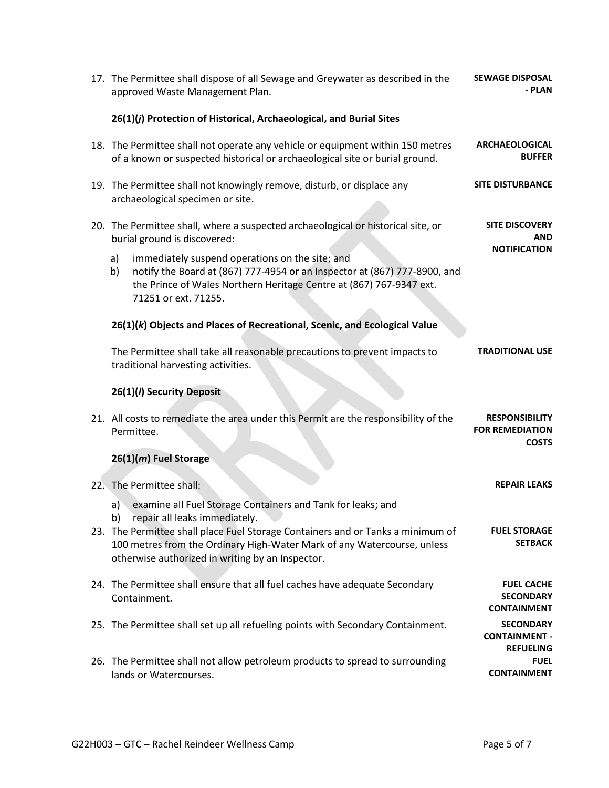| 17. The Permittee shall dispose of all Sewage and Greywater as described in the<br>approved Waste Management Plan.                                                                                                                                                                                                   | <b>SEWAGE DISPOSAL</b><br>- PLAN                                |
|----------------------------------------------------------------------------------------------------------------------------------------------------------------------------------------------------------------------------------------------------------------------------------------------------------------------|-----------------------------------------------------------------|
| 26(1)(j) Protection of Historical, Archaeological, and Burial Sites                                                                                                                                                                                                                                                  |                                                                 |
| 18. The Permittee shall not operate any vehicle or equipment within 150 metres<br>of a known or suspected historical or archaeological site or burial ground.                                                                                                                                                        | <b>ARCHAEOLOGICAL</b><br><b>BUFFER</b>                          |
| 19. The Permittee shall not knowingly remove, disturb, or displace any<br>archaeological specimen or site.                                                                                                                                                                                                           | <b>SITE DISTURBANCE</b>                                         |
| 20. The Permittee shall, where a suspected archaeological or historical site, or<br>burial ground is discovered:                                                                                                                                                                                                     | <b>SITE DISCOVERY</b><br>AND<br><b>NOTIFICATION</b>             |
| immediately suspend operations on the site; and<br>a)<br>notify the Board at (867) 777-4954 or an Inspector at (867) 777-8900, and<br>b)<br>the Prince of Wales Northern Heritage Centre at (867) 767-9347 ext.<br>71251 or ext. 71255.                                                                              |                                                                 |
| 26(1)(k) Objects and Places of Recreational, Scenic, and Ecological Value                                                                                                                                                                                                                                            |                                                                 |
| The Permittee shall take all reasonable precautions to prevent impacts to<br>traditional harvesting activities.                                                                                                                                                                                                      | <b>TRADITIONAL USE</b>                                          |
| 26(1)(/) Security Deposit                                                                                                                                                                                                                                                                                            |                                                                 |
| 21. All costs to remediate the area under this Permit are the responsibility of the<br>Permittee.                                                                                                                                                                                                                    | <b>RESPONSIBILITY</b><br><b>FOR REMEDIATION</b><br><b>COSTS</b> |
| 26(1)(m) Fuel Storage                                                                                                                                                                                                                                                                                                |                                                                 |
| 22. The Permittee shall:                                                                                                                                                                                                                                                                                             | <b>REPAIR LEAKS</b>                                             |
| examine all Fuel Storage Containers and Tank for leaks; and<br>a)<br>repair all leaks immediately.<br>23. The Permittee shall place Fuel Storage Containers and or Tanks a minimum of<br>100 metres from the Ordinary High-Water Mark of any Watercourse, unless<br>otherwise authorized in writing by an Inspector. | <b>FUEL STORAGE</b><br><b>SETBACK</b>                           |
| 24. The Permittee shall ensure that all fuel caches have adequate Secondary<br>Containment.                                                                                                                                                                                                                          | <b>FUEL CACHE</b><br><b>SECONDARY</b><br><b>CONTAINMENT</b>     |
| 25. The Permittee shall set up all refueling points with Secondary Containment.                                                                                                                                                                                                                                      | <b>SECONDARY</b>                                                |
|                                                                                                                                                                                                                                                                                                                      | <b>CONTAINMENT -</b><br><b>REFUELING</b>                        |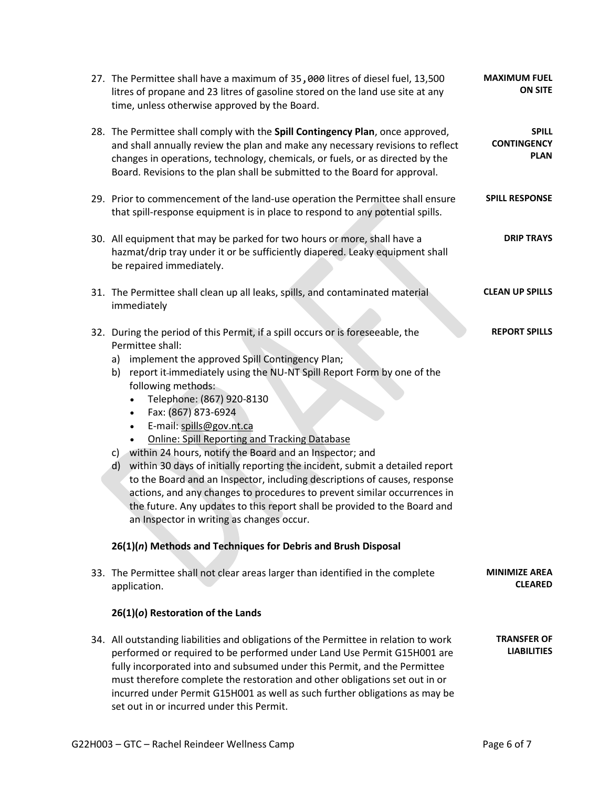| 27. The Permittee shall have a maximum of 35,000 litres of diesel fuel, 13,500<br>litres of propane and 23 litres of gasoline stored on the land use site at any<br>time, unless otherwise approved by the Board.                                                                                                                                                                                                                                                                                                                                                                                                                                                                                                                                                                                                                                                                                                                         | <b>MAXIMUM FUEL</b><br><b>ON SITE</b>             |
|-------------------------------------------------------------------------------------------------------------------------------------------------------------------------------------------------------------------------------------------------------------------------------------------------------------------------------------------------------------------------------------------------------------------------------------------------------------------------------------------------------------------------------------------------------------------------------------------------------------------------------------------------------------------------------------------------------------------------------------------------------------------------------------------------------------------------------------------------------------------------------------------------------------------------------------------|---------------------------------------------------|
| 28. The Permittee shall comply with the Spill Contingency Plan, once approved,<br>and shall annually review the plan and make any necessary revisions to reflect<br>changes in operations, technology, chemicals, or fuels, or as directed by the<br>Board. Revisions to the plan shall be submitted to the Board for approval.                                                                                                                                                                                                                                                                                                                                                                                                                                                                                                                                                                                                           | <b>SPILL</b><br><b>CONTINGENCY</b><br><b>PLAN</b> |
| 29. Prior to commencement of the land-use operation the Permittee shall ensure<br>that spill-response equipment is in place to respond to any potential spills.                                                                                                                                                                                                                                                                                                                                                                                                                                                                                                                                                                                                                                                                                                                                                                           | <b>SPILL RESPONSE</b>                             |
| 30. All equipment that may be parked for two hours or more, shall have a<br>hazmat/drip tray under it or be sufficiently diapered. Leaky equipment shall<br>be repaired immediately.                                                                                                                                                                                                                                                                                                                                                                                                                                                                                                                                                                                                                                                                                                                                                      | <b>DRIP TRAYS</b>                                 |
| 31. The Permittee shall clean up all leaks, spills, and contaminated material<br>immediately                                                                                                                                                                                                                                                                                                                                                                                                                                                                                                                                                                                                                                                                                                                                                                                                                                              | <b>CLEAN UP SPILLS</b>                            |
| 32. During the period of this Permit, if a spill occurs or is foreseeable, the<br>Permittee shall:<br>implement the approved Spill Contingency Plan;<br>a)<br>report it-immediately using the NU-NT Spill Report Form by one of the<br>b)<br>following methods:<br>Telephone: (867) 920-8130<br>Fax: (867) 873-6924<br>$\bullet$<br>E-mail: spills@gov.nt.ca<br>$\bullet$<br><b>Online: Spill Reporting and Tracking Database</b><br>c) within 24 hours, notify the Board and an Inspector; and<br>within 30 days of initially reporting the incident, submit a detailed report<br>d)<br>to the Board and an Inspector, including descriptions of causes, response<br>actions, and any changes to procedures to prevent similar occurrences in<br>the future. Any updates to this report shall be provided to the Board and<br>an Inspector in writing as changes occur.<br>26(1)(n) Methods and Techniques for Debris and Brush Disposal | <b>REPORT SPILLS</b>                              |
| 33. The Permittee shall not clear areas larger than identified in the complete<br>application.                                                                                                                                                                                                                                                                                                                                                                                                                                                                                                                                                                                                                                                                                                                                                                                                                                            | <b>MINIMIZE AREA</b><br><b>CLEARED</b>            |
| 26(1)(o) Restoration of the Lands                                                                                                                                                                                                                                                                                                                                                                                                                                                                                                                                                                                                                                                                                                                                                                                                                                                                                                         |                                                   |
| 34. All outstanding liabilities and obligations of the Permittee in relation to work<br>performed or required to be performed under Land Use Permit G15H001 are<br>fully incorporated into and subsumed under this Permit, and the Permittee<br>must therefore complete the restoration and other obligations set out in or<br>incurred under Permit G15H001 as well as such further obligations as may be<br>set out in or incurred under this Permit.                                                                                                                                                                                                                                                                                                                                                                                                                                                                                   | <b>TRANSFER OF</b><br><b>LIABILITIES</b>          |